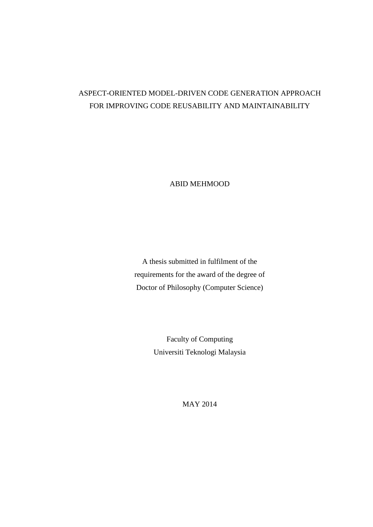# ASPECT-ORIENTED MODEL-DRIVEN CODE GENERATION APPROACH FOR IMPROVING CODE REUSABILITY AND MAINTAINABILITY

ABID MEHMOOD

A thesis submitted in fulfilment of the requirements for the award of the degree of Doctor of Philosophy (Computer Science)

> Faculty of Computing Universiti Teknologi Malaysia

> > MAY 2014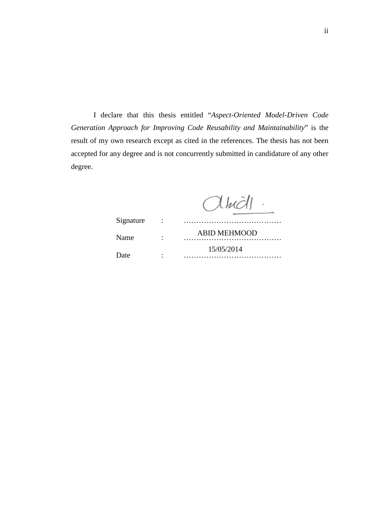I declare that this thesis entitled "*Aspect-Oriented Model-Driven Code Generation Approach for Improving Code Reusability and Maintainability*" is the result of my own research except as cited in the references. The thesis has not been accepted for any degree and is not concurrently submitted in candidature of any other degree.

 $Alm$ 

| Signature | $\sim 100$ |                     |
|-----------|------------|---------------------|
| Name      |            | <b>ABID MEHMOOD</b> |
| Date      |            | 15/05/2014          |
|           |            |                     |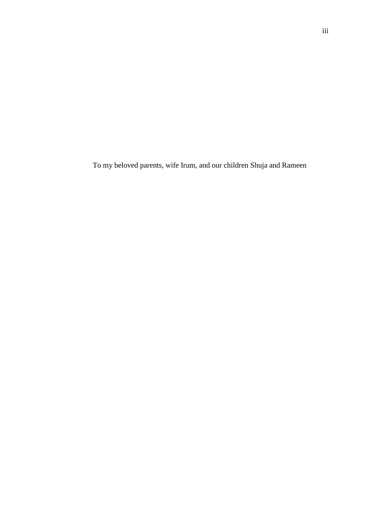To my beloved parents, wife Irum, and our children Shuja and Rameen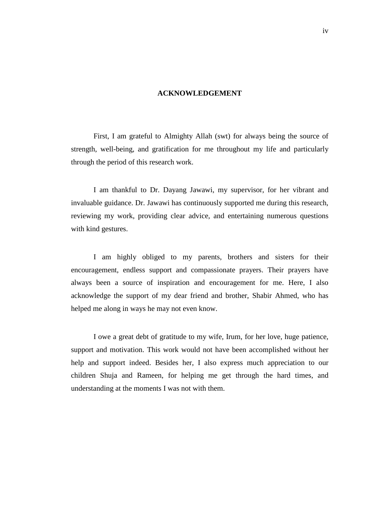### **ACKNOWLEDGEMENT**

First, I am grateful to Almighty Allah (swt) for always being the source of strength, well-being, and gratification for me throughout my life and particularly through the period of this research work.

I am thankful to Dr. Dayang Jawawi, my supervisor, for her vibrant and invaluable guidance. Dr. Jawawi has continuously supported me during this research, reviewing my work, providing clear advice, and entertaining numerous questions with kind gestures.

I am highly obliged to my parents, brothers and sisters for their encouragement, endless support and compassionate prayers. Their prayers have always been a source of inspiration and encouragement for me. Here, I also acknowledge the support of my dear friend and brother, Shabir Ahmed, who has helped me along in ways he may not even know.

I owe a great debt of gratitude to my wife, Irum, for her love, huge patience, support and motivation. This work would not have been accomplished without her help and support indeed. Besides her, I also express much appreciation to our children Shuja and Rameen, for helping me get through the hard times, and understanding at the moments I was not with them.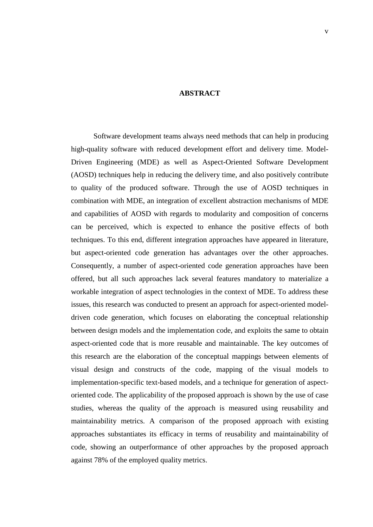#### **ABSTRACT**

Software development teams always need methods that can help in producing high-quality software with reduced development effort and delivery time. Model-Driven Engineering (MDE) as well as Aspect-Oriented Software Development (AOSD) techniques help in reducing the delivery time, and also positively contribute to quality of the produced software. Through the use of AOSD techniques in combination with MDE, an integration of excellent abstraction mechanisms of MDE and capabilities of AOSD with regards to modularity and composition of concerns can be perceived, which is expected to enhance the positive effects of both techniques. To this end, different integration approaches have appeared in literature, but aspect-oriented code generation has advantages over the other approaches. Consequently, a number of aspect-oriented code generation approaches have been offered, but all such approaches lack several features mandatory to materialize a workable integration of aspect technologies in the context of MDE. To address these issues, this research was conducted to present an approach for aspect-oriented modeldriven code generation, which focuses on elaborating the conceptual relationship between design models and the implementation code, and exploits the same to obtain aspect-oriented code that is more reusable and maintainable. The key outcomes of this research are the elaboration of the conceptual mappings between elements of visual design and constructs of the code, mapping of the visual models to implementation-specific text-based models, and a technique for generation of aspectoriented code. The applicability of the proposed approach is shown by the use of case studies, whereas the quality of the approach is measured using reusability and maintainability metrics. A comparison of the proposed approach with existing approaches substantiates its efficacy in terms of reusability and maintainability of code, showing an outperformance of other approaches by the proposed approach against 78% of the employed quality metrics.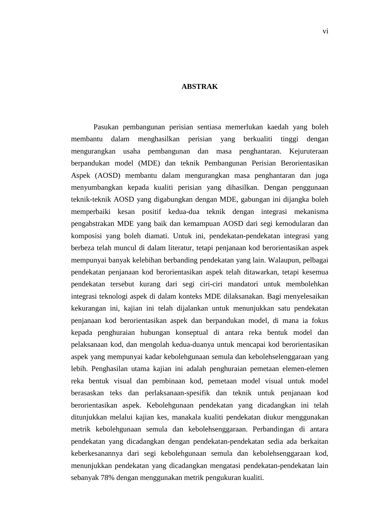#### **ABSTRAK**

Pasukan pembangunan perisian sentiasa memerlukan kaedah yang boleh membantu dalam menghasilkan perisian yang berkualiti tinggi dengan mengurangkan usaha pembangunan dan masa penghantaran. Kejuruteraan berpandukan model (MDE) dan teknik Pembangunan Perisian Berorientasikan Aspek (AOSD) membantu dalam mengurangkan masa penghantaran dan juga menyumbangkan kepada kualiti perisian yang dihasilkan. Dengan penggunaan teknik-teknik AOSD yang digabungkan dengan MDE, gabungan ini dijangka boleh memperbaiki kesan positif kedua-dua teknik dengan integrasi mekanisma pengabstrakan MDE yang baik dan kemampuan AOSD dari segi kemodularan dan komposisi yang boleh diamati. Untuk ini, pendekatan-pendekatan integrasi yang berbeza telah muncul di dalam literatur, tetapi penjanaan kod berorientasikan aspek mempunyai banyak kelebihan berbanding pendekatan yang lain. Walaupun, pelbagai pendekatan penjanaan kod berorientasikan aspek telah ditawarkan, tetapi kesemua pendekatan tersebut kurang dari segi ciri-ciri mandatori untuk membolehkan integrasi teknologi aspek di dalam konteks MDE dilaksanakan. Bagi menyelesaikan kekurangan ini, kajian ini telah dijalankan untuk menunjukkan satu pendekatan penjanaan kod berorientasikan aspek dan berpandukan model, di mana ia fokus kepada penghuraian hubungan konseptual di antara reka bentuk model dan pelaksanaan kod, dan mengolah kedua-duanya untuk mencapai kod berorientasikan aspek yang mempunyai kadar kebolehgunaan semula dan kebolehselenggaraan yang lebih. Penghasilan utama kajian ini adalah penghuraian pemetaan elemen-elemen reka bentuk visual dan pembinaan kod, pemetaan model visual untuk model berasaskan teks dan perlaksanaan-spesifik dan teknik untuk penjanaan kod berorientasikan aspek. Kebolehgunaan pendekatan yang dicadangkan ini telah ditunjukkan melalui kajian kes, manakala kualiti pendekatan diukur menggunakan metrik kebolehgunaan semula dan kebolehsenggaraan. Perbandingan di antara pendekatan yang dicadangkan dengan pendekatan-pendekatan sedia ada berkaitan keberkesanannya dari segi kebolehgunaan semula dan kebolehsenggaraan kod, menunjukkan pendekatan yang dicadangkan mengatasi pendekatan-pendekatan lain sebanyak 78% dengan menggunakan metrik pengukuran kualiti.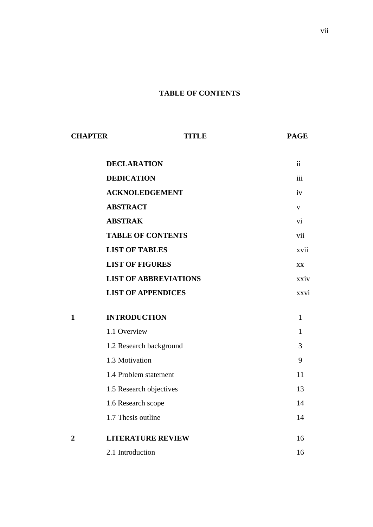## **TABLE OF CONTENTS**

| <b>CHAPTER</b> | TITLE                        | <b>PAGE</b>   |
|----------------|------------------------------|---------------|
|                | <b>DECLARATION</b>           | $\mathbf{ii}$ |
|                | <b>DEDICATION</b>            | iii           |
|                | <b>ACKNOLEDGEMENT</b>        | iv            |
|                | <b>ABSTRACT</b>              | $\mathbf V$   |
|                | <b>ABSTRAK</b>               | vi            |
|                | <b>TABLE OF CONTENTS</b>     | vii           |
|                | <b>LIST OF TABLES</b>        | xvii          |
|                | <b>LIST OF FIGURES</b>       | XX            |
|                | <b>LIST OF ABBREVIATIONS</b> | xxiv          |
|                | <b>LIST OF APPENDICES</b>    | xxvi          |
| $\mathbf{1}$   | <b>INTRODUCTION</b>          | $\mathbf{1}$  |
|                | 1.1 Overview                 | $\mathbf{1}$  |
|                | 1.2 Research background      | 3             |
|                | 1.3 Motivation               | 9             |
|                | 1.4 Problem statement        | 11            |
|                | 1.5 Research objectives      | 13            |
|                | 1.6 Research scope           | 14            |
|                | 1.7 Thesis outline           | 14            |
| $\overline{2}$ | <b>LITERATURE REVIEW</b>     | 16            |
|                | 2.1 Introduction             | 16            |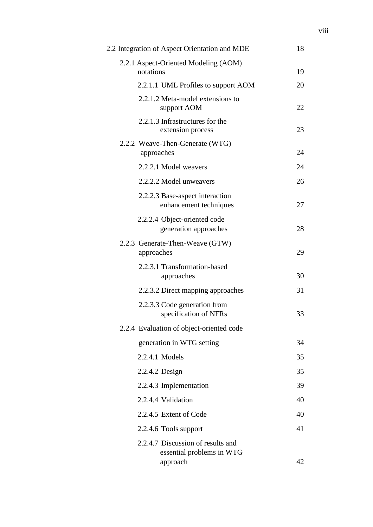| 2.2 Integration of Aspect Orientation and MDE                              | 18 |
|----------------------------------------------------------------------------|----|
| 2.2.1 Aspect-Oriented Modeling (AOM)<br>notations                          | 19 |
| 2.2.1.1 UML Profiles to support AOM                                        | 20 |
| 2.2.1.2 Meta-model extensions to<br>support AOM                            | 22 |
| 2.2.1.3 Infrastructures for the<br>extension process                       | 23 |
| 2.2.2 Weave-Then-Generate (WTG)<br>approaches                              | 24 |
| 2.2.2.1 Model weavers                                                      | 24 |
| 2.2.2.2 Model unweavers                                                    | 26 |
| 2.2.2.3 Base-aspect interaction<br>enhancement techniques                  | 27 |
| 2.2.2.4 Object-oriented code<br>generation approaches                      | 28 |
| 2.2.3 Generate-Then-Weave (GTW)<br>approaches                              | 29 |
| 2.2.3.1 Transformation-based<br>approaches                                 | 30 |
| 2.2.3.2 Direct mapping approaches                                          | 31 |
| 2.2.3.3 Code generation from<br>specification of NFRs                      | 33 |
| 2.2.4 Evaluation of object-oriented code                                   |    |
| generation in WTG setting                                                  | 34 |
| 2.2.4.1 Models                                                             | 35 |
| 2.2.4.2 Design                                                             | 35 |
| 2.2.4.3 Implementation                                                     | 39 |
| 2.2.4.4 Validation                                                         | 40 |
| 2.2.4.5 Extent of Code                                                     | 40 |
| 2.2.4.6 Tools support                                                      | 41 |
| 2.2.4.7 Discussion of results and<br>essential problems in WTG<br>approach | 42 |
|                                                                            |    |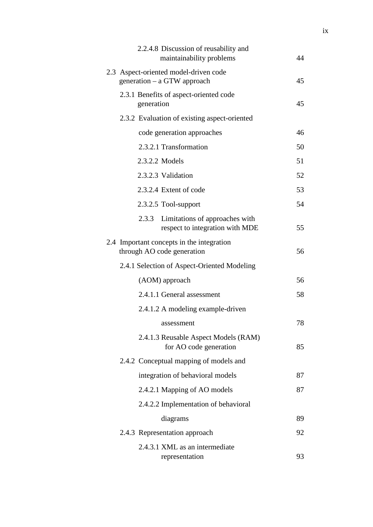|  |            | 2.2.4.8 Discussion of reusability and<br>maintainability problems       | 44 |
|--|------------|-------------------------------------------------------------------------|----|
|  |            | 2.3 Aspect-oriented model-driven code<br>generation $-$ a GTW approach  | 45 |
|  | generation | 2.3.1 Benefits of aspect-oriented code                                  | 45 |
|  |            | 2.3.2 Evaluation of existing aspect-oriented                            |    |
|  |            | code generation approaches                                              | 46 |
|  |            | 2.3.2.1 Transformation                                                  | 50 |
|  |            | 2.3.2.2 Models                                                          | 51 |
|  |            | 2.3.2.3 Validation                                                      | 52 |
|  |            | 2.3.2.4 Extent of code                                                  | 53 |
|  |            | 2.3.2.5 Tool-support                                                    | 54 |
|  | 2.3.3      | Limitations of approaches with<br>respect to integration with MDE       | 55 |
|  |            | 2.4 Important concepts in the integration<br>through AO code generation | 56 |
|  |            | 2.4.1 Selection of Aspect-Oriented Modeling                             |    |
|  |            | (AOM) approach                                                          | 56 |
|  |            | 2.4.1.1 General assessment                                              | 58 |
|  |            | 2.4.1.2 A modeling example-driven                                       |    |
|  |            | assessment                                                              | 78 |
|  |            | 2.4.1.3 Reusable Aspect Models (RAM)<br>for AO code generation          | 85 |
|  |            | 2.4.2 Conceptual mapping of models and                                  |    |
|  |            | integration of behavioral models                                        | 87 |
|  |            | 2.4.2.1 Mapping of AO models                                            | 87 |
|  |            | 2.4.2.2 Implementation of behavioral                                    |    |
|  |            | diagrams                                                                | 89 |
|  |            | 2.4.3 Representation approach                                           | 92 |
|  |            | 2.4.3.1 XML as an intermediate<br>representation                        | 93 |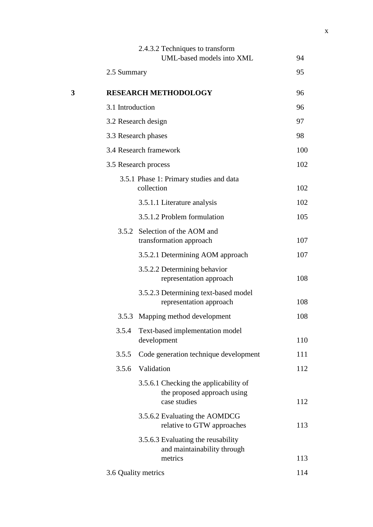|   |                     | 2.4.3.2 Techniques to transform<br>UML-based models into XML                         | 94  |
|---|---------------------|--------------------------------------------------------------------------------------|-----|
|   |                     |                                                                                      |     |
|   | 2.5 Summary         |                                                                                      | 95  |
| 3 |                     | <b>RESEARCH METHODOLOGY</b>                                                          | 96  |
|   | 3.1 Introduction    |                                                                                      | 96  |
|   |                     | 3.2 Research design                                                                  | 97  |
|   |                     | 3.3 Research phases                                                                  | 98  |
|   |                     | 3.4 Research framework                                                               | 100 |
|   |                     | 3.5 Research process                                                                 | 102 |
|   |                     | 3.5.1 Phase 1: Primary studies and data<br>collection                                | 102 |
|   |                     | 3.5.1.1 Literature analysis                                                          | 102 |
|   |                     | 3.5.1.2 Problem formulation                                                          | 105 |
|   |                     | 3.5.2 Selection of the AOM and<br>transformation approach                            | 107 |
|   |                     | 3.5.2.1 Determining AOM approach                                                     | 107 |
|   |                     | 3.5.2.2 Determining behavior<br>representation approach                              | 108 |
|   |                     | 3.5.2.3 Determining text-based model<br>representation approach                      | 108 |
|   | 3.5.3               | Mapping method development                                                           | 108 |
|   | 3.5.4               | Text-based implementation model<br>development                                       | 110 |
|   | 3.5.5               | Code generation technique development                                                | 111 |
|   | 3.5.6               | Validation                                                                           | 112 |
|   |                     | 3.5.6.1 Checking the applicability of<br>the proposed approach using<br>case studies | 112 |
|   |                     | 3.5.6.2 Evaluating the AOMDCG<br>relative to GTW approaches                          | 113 |
|   |                     | 3.5.6.3 Evaluating the reusability<br>and maintainability through<br>metrics         | 113 |
|   | 3.6 Quality metrics |                                                                                      | 114 |
|   |                     |                                                                                      |     |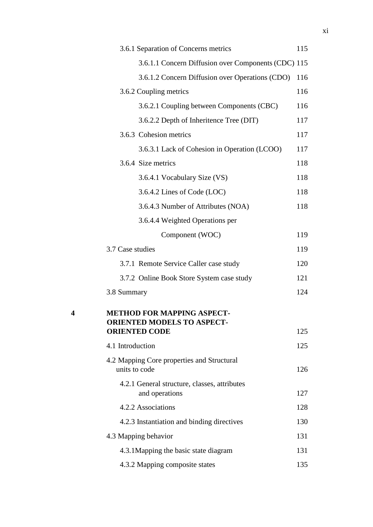|   | 3.6.1 Separation of Concerns metrics                                                          | 115 |
|---|-----------------------------------------------------------------------------------------------|-----|
|   | 3.6.1.1 Concern Diffusion over Components (CDC) 115                                           |     |
|   | 3.6.1.2 Concern Diffusion over Operations (CDO)                                               | 116 |
|   | 3.6.2 Coupling metrics                                                                        | 116 |
|   | 3.6.2.1 Coupling between Components (CBC)                                                     | 116 |
|   | 3.6.2.2 Depth of Inheritence Tree (DIT)                                                       | 117 |
|   | 3.6.3 Cohesion metrics                                                                        | 117 |
|   | 3.6.3.1 Lack of Cohesion in Operation (LCOO)                                                  | 117 |
|   | 3.6.4 Size metrics                                                                            | 118 |
|   | 3.6.4.1 Vocabulary Size (VS)                                                                  | 118 |
|   | 3.6.4.2 Lines of Code (LOC)                                                                   | 118 |
|   | 3.6.4.3 Number of Attributes (NOA)                                                            | 118 |
|   | 3.6.4.4 Weighted Operations per                                                               |     |
|   | Component (WOC)                                                                               | 119 |
|   | 3.7 Case studies                                                                              | 119 |
|   | 3.7.1 Remote Service Caller case study                                                        | 120 |
|   | 3.7.2 Online Book Store System case study                                                     | 121 |
|   | 3.8 Summary                                                                                   | 124 |
| 4 | <b>METHOD FOR MAPPING ASPECT-</b><br><b>ORIENTED MODELS TO ASPECT</b><br><b>ORIENTED CODE</b> | 125 |
|   | 4.1 Introduction                                                                              | 125 |
|   | 4.2 Mapping Core properties and Structural<br>units to code                                   | 126 |
|   | 4.2.1 General structure, classes, attributes<br>and operations                                | 127 |
|   | 4.2.2 Associations                                                                            | 128 |
|   | 4.2.3 Instantiation and binding directives                                                    | 130 |
|   | 4.3 Mapping behavior                                                                          | 131 |
|   | 4.3.1 Mapping the basic state diagram                                                         | 131 |
|   | 4.3.2 Mapping composite states                                                                | 135 |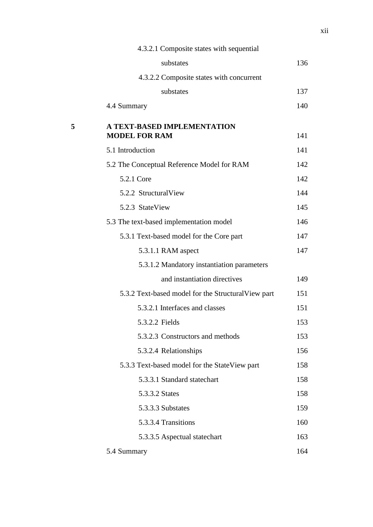|   | 4.3.2.1 Composite states with sequential            |     |
|---|-----------------------------------------------------|-----|
|   | substates                                           | 136 |
|   | 4.3.2.2 Composite states with concurrent            |     |
|   | substates                                           | 137 |
|   | 4.4 Summary                                         | 140 |
| 5 | A TEXT-BASED IMPLEMENTATION<br><b>MODEL FOR RAM</b> | 141 |
|   | 5.1 Introduction                                    | 141 |
|   | 5.2 The Conceptual Reference Model for RAM          | 142 |
|   | 5.2.1 Core                                          | 142 |
|   | 5.2.2 StructuralView                                | 144 |
|   | 5.2.3 StateView                                     | 145 |
|   | 5.3 The text-based implementation model             | 146 |
|   | 5.3.1 Text-based model for the Core part            | 147 |
|   | 5.3.1.1 RAM aspect                                  | 147 |
|   | 5.3.1.2 Mandatory instantiation parameters          |     |
|   | and instantiation directives                        | 149 |
|   | 5.3.2 Text-based model for the Structural View part | 151 |
|   | 5.3.2.1 Interfaces and classes                      | 151 |
|   | 5.3.2.2 Fields                                      | 153 |
|   | 5.3.2.3 Constructors and methods                    | 153 |
|   | 5.3.2.4 Relationships                               | 156 |
|   | 5.3.3 Text-based model for the StateView part       | 158 |
|   | 5.3.3.1 Standard statechart                         | 158 |
|   | 5.3.3.2 States                                      | 158 |
|   | 5.3.3.3 Substates                                   | 159 |
|   | 5.3.3.4 Transitions                                 | 160 |
|   | 5.3.3.5 Aspectual statechart                        | 163 |
|   | 5.4 Summary                                         | 164 |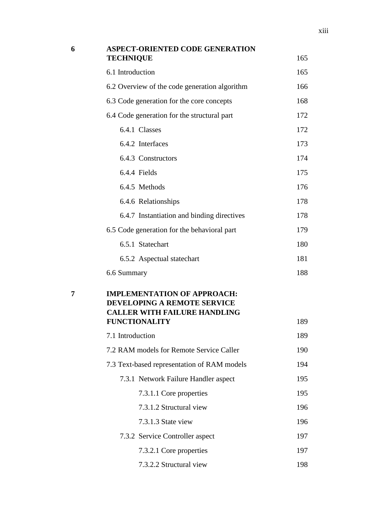| 6 | <b>ASPECT-ORIENTED CODE GENERATION</b><br><b>TECHNIQUE</b>                                               | 165 |
|---|----------------------------------------------------------------------------------------------------------|-----|
|   | 6.1 Introduction                                                                                         | 165 |
|   | 6.2 Overview of the code generation algorithm                                                            | 166 |
|   | 6.3 Code generation for the core concepts                                                                | 168 |
|   | 6.4 Code generation for the structural part                                                              | 172 |
|   | 6.4.1 Classes                                                                                            | 172 |
|   | 6.4.2 Interfaces                                                                                         | 173 |
|   | 6.4.3 Constructors                                                                                       | 174 |
|   | 6.4.4 Fields                                                                                             | 175 |
|   | 6.4.5 Methods                                                                                            | 176 |
|   | 6.4.6 Relationships                                                                                      | 178 |
|   | 6.4.7 Instantiation and binding directives                                                               | 178 |
|   | 6.5 Code generation for the behavioral part                                                              | 179 |
|   | 6.5.1 Statechart                                                                                         | 180 |
|   | 6.5.2 Aspectual statechart                                                                               | 181 |
|   | 6.6 Summary                                                                                              | 188 |
| 7 | <b>IMPLEMENTATION OF APPROACH:</b><br>DEVELOPING A REMOTE SERVICE<br><b>CALLER WITH FAILURE HANDLING</b> |     |
|   | <b>FUNCTIONALITY</b><br>7.1 Introduction                                                                 | 189 |
|   |                                                                                                          | 189 |
|   | 7.2 RAM models for Remote Service Caller                                                                 | 190 |
|   | 7.3 Text-based representation of RAM models                                                              | 194 |
|   | 7.3.1 Network Failure Handler aspect                                                                     | 195 |
|   | 7.3.1.1 Core properties                                                                                  | 195 |
|   | 7.3.1.2 Structural view                                                                                  | 196 |
|   | 7.3.1.3 State view                                                                                       | 196 |
|   | 7.3.2 Service Controller aspect                                                                          | 197 |
|   | 7.3.2.1 Core properties                                                                                  | 197 |
|   | 7.3.2.2 Structural view                                                                                  | 198 |

xiii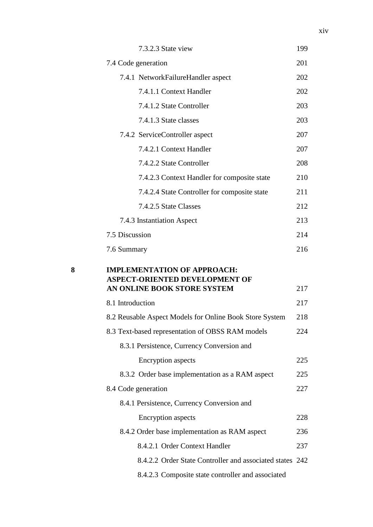|   | 7.3.2.3 State view                                                             | 199 |
|---|--------------------------------------------------------------------------------|-----|
|   | 7.4 Code generation                                                            | 201 |
|   | 7.4.1 NetworkFailureHandler aspect                                             | 202 |
|   | 7.4.1.1 Context Handler                                                        | 202 |
|   | 7.4.1.2 State Controller                                                       | 203 |
|   | 7.4.1.3 State classes                                                          | 203 |
|   | 7.4.2 ServiceController aspect                                                 | 207 |
|   | 7.4.2.1 Context Handler                                                        | 207 |
|   | 7.4.2.2 State Controller                                                       | 208 |
|   | 7.4.2.3 Context Handler for composite state                                    | 210 |
|   | 7.4.2.4 State Controller for composite state                                   | 211 |
|   | 7.4.2.5 State Classes                                                          | 212 |
|   | 7.4.3 Instantiation Aspect                                                     | 213 |
|   | 7.5 Discussion                                                                 | 214 |
|   | 7.6 Summary                                                                    | 216 |
|   |                                                                                |     |
| 8 | <b>IMPLEMENTATION OF APPROACH:</b><br><b>ASPECT-ORIENTED DEVELOPMENT OF</b>    |     |
|   | AN ONLINE BOOK STORE SYSTEM                                                    | 217 |
|   | 8.1 Introduction                                                               | 217 |
|   | 8.2 Reusable Aspect Models for Online Book Store System                        | 218 |
|   | 8.3 Text-based representation of OBSS RAM models                               | 224 |
|   | 8.3.1 Persistence, Currency Conversion and                                     |     |
|   | <b>Encryption</b> aspects                                                      | 225 |
|   | 8.3.2 Order base implementation as a RAM aspect                                | 225 |
|   | 8.4 Code generation                                                            | 227 |
|   | 8.4.1 Persistence, Currency Conversion and                                     | 228 |
|   | <b>Encryption</b> aspects                                                      | 236 |
|   | 8.4.2 Order base implementation as RAM aspect<br>8.4.2.1 Order Context Handler | 237 |
|   | 8.4.2.2 Order State Controller and associated states 242                       |     |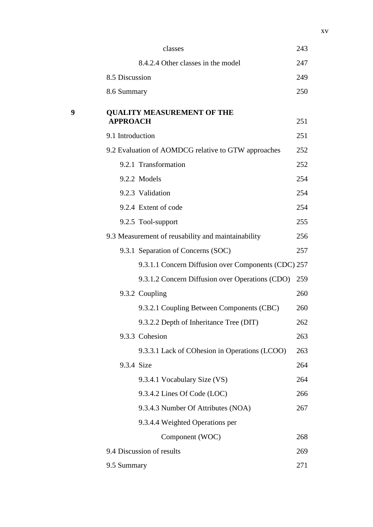|   | classes                                              | 243 |
|---|------------------------------------------------------|-----|
|   | 8.4.2.4 Other classes in the model                   | 247 |
|   | 8.5 Discussion                                       | 249 |
|   | 8.6 Summary                                          | 250 |
| 9 | <b>QUALITY MEASUREMENT OF THE</b><br><b>APPROACH</b> | 251 |
|   | 9.1 Introduction                                     | 251 |
|   | 9.2 Evaluation of AOMDCG relative to GTW approaches  | 252 |
|   | 9.2.1 Transformation                                 | 252 |
|   | 9.2.2 Models                                         | 254 |
|   | 9.2.3 Validation                                     | 254 |
|   | 9.2.4 Extent of code                                 | 254 |
|   | 9.2.5 Tool-support                                   | 255 |
|   | 9.3 Measurement of reusability and maintainability   | 256 |
|   | 9.3.1 Separation of Concerns (SOC)                   | 257 |
|   | 9.3.1.1 Concern Diffusion over Components (CDC) 257  |     |
|   | 9.3.1.2 Concern Diffusion over Operations (CDO)      | 259 |
|   | 9.3.2 Coupling                                       | 260 |
|   | 9.3.2.1 Coupling Between Components (CBC)            | 260 |
|   | 9.3.2.2 Depth of Inheritance Tree (DIT)              | 262 |
|   | 9.3.3 Cohesion                                       | 263 |
|   | 9.3.3.1 Lack of COhesion in Operations (LCOO)        | 263 |
|   | 9.3.4 Size                                           | 264 |
|   | 9.3.4.1 Vocabulary Size (VS)                         | 264 |
|   | 9.3.4.2 Lines Of Code (LOC)                          | 266 |
|   | 9.3.4.3 Number Of Attributes (NOA)                   | 267 |
|   | 9.3.4.4 Weighted Operations per                      |     |
|   | Component (WOC)                                      | 268 |
|   | 9.4 Discussion of results                            | 269 |
|   | 9.5 Summary                                          | 271 |